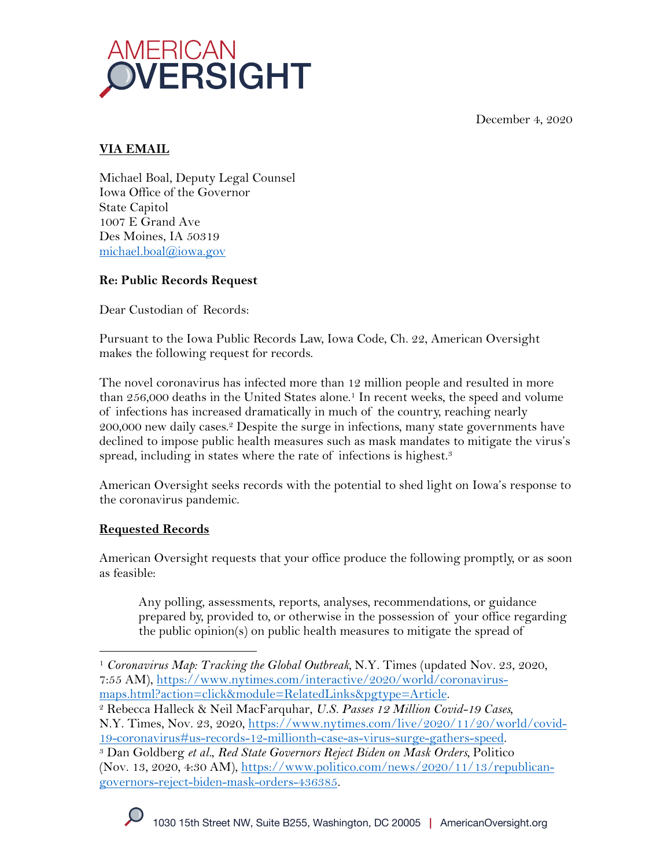December 4, 2020



# **VIA EMAIL**

Michael Boal, Deputy Legal Counsel Iowa Office of the Governor State Capitol 1007 E Grand Ave Des Moines, IA 50319 michael.boal@iowa.gov

## **Re: Public Records Request**

Dear Custodian of Records:

Pursuant to the Iowa Public Records Law, Iowa Code, Ch. 22, American Oversight makes the following request for records.

The novel coronavirus has infected more than 12 million people and resulted in more than 256,000 deaths in the United States alone.<sup>1</sup> In recent weeks, the speed and volume of infections has increased dramatically in much of the country, reaching nearly 200,000 new daily cases.2 Despite the surge in infections, many state governments have declined to impose public health measures such as mask mandates to mitigate the virus's spread, including in states where the rate of infections is highest.<sup>3</sup>

American Oversight seeks records with the potential to shed light on Iowa's response to the coronavirus pandemic.

## **Requested Records**

American Oversight requests that your office produce the following promptly, or as soon as feasible:

Any polling, assessments, reports, analyses, recommendations, or guidance prepared by, provided to, or otherwise in the possession of your office regarding the public opinion(s) on public health measures to mitigate the spread of

<sup>1</sup> *Coronavirus Map: Tracking the Global Outbreak,* N.Y. Times (updated Nov. 23, 2020, 7:55 AM), https://www.nytimes.com/interactive/2020/world/coronavirusmaps.html?action=click&module=RelatedLinks&pgtype=Article. 2 Rebecca Halleck & Neil MacFarquhar, *U.S. Passes 12 Million Covid-19 Cases,* 

N.Y. Times, Nov. 23, 2020, https://www.nytimes.com/live/2020/11/20/world/covid-

<sup>19-</sup>coronavirus#us-records-12-millionth-case-as-virus-surge-gathers-speed. 3 Dan Goldberg *et al.*, *Red State Governors Reject Biden on Mask Orders,* Politico (Nov. 13, 2020, 4:30 AM), https://www.politico.com/news/2020/11/13/republicangovernors-reject-biden-mask-orders-436385.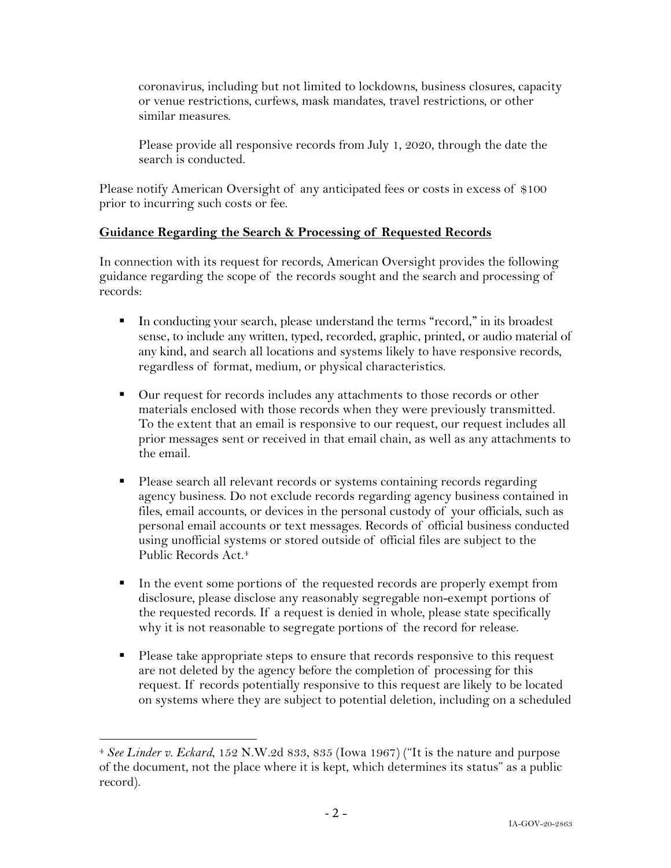coronavirus, including but not limited to lockdowns, business closures, capacity or venue restrictions, curfews, mask mandates, travel restrictions, or other similar measures.

Please provide all responsive records from July 1, 2020, through the date the search is conducted.

Please notify American Oversight of any anticipated fees or costs in excess of \$100 prior to incurring such costs or fee.

### **Guidance Regarding the Search & Processing of Requested Records**

In connection with its request for records, American Oversight provides the following guidance regarding the scope of the records sought and the search and processing of records:

- § In conducting your search, please understand the terms "record," in its broadest sense, to include any written, typed, recorded, graphic, printed, or audio material of any kind, and search all locations and systems likely to have responsive records, regardless of format, medium, or physical characteristics.
- Our request for records includes any attachments to those records or other materials enclosed with those records when they were previously transmitted. To the extent that an email is responsive to our request, our request includes all prior messages sent or received in that email chain, as well as any attachments to the email.
- § Please search all relevant records or systems containing records regarding agency business. Do not exclude records regarding agency business contained in files, email accounts, or devices in the personal custody of your officials, such as personal email accounts or text messages. Records of official business conducted using unofficial systems or stored outside of official files are subject to the Public Records Act. 4
- In the event some portions of the requested records are properly exempt from disclosure, please disclose any reasonably segregable non-exempt portions of the requested records. If a request is denied in whole, please state specifically why it is not reasonable to segregate portions of the record for release.
- Please take appropriate steps to ensure that records responsive to this request are not deleted by the agency before the completion of processing for this request. If records potentially responsive to this request are likely to be located on systems where they are subject to potential deletion, including on a scheduled

<sup>4</sup> *See Linder v. Eckard*, 152 N.W.2d 833, 835 (Iowa 1967) ("It is the nature and purpose of the document, not the place where it is kept, which determines its status" as a public record).